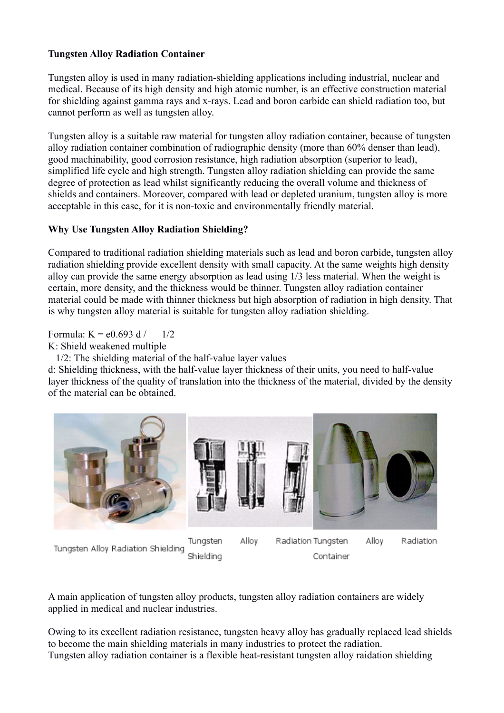## **Tungsten Alloy Radiation Container**

Tungsten alloy is used in many radiation-shielding applications including industrial, nuclear and medical. Because of its high density and high atomic number, is an effective construction material for shielding against gamma rays and x-rays. Lead and boron carbide can shield radiation too, but cannot perform as well as tungsten alloy.

Tungsten alloy is a suitable raw material for tungsten alloy radiation container, because of tungsten alloy radiation container combination of radiographic density (more than 60% denser than lead), good machinability, good corrosion resistance, high radiation absorption (superior to lead), simplified life cycle and high strength. Tungsten alloy radiation shielding can provide the same degree of protection as lead whilst significantly reducing the overall volume and thickness of shields and containers. Moreover, compared with lead or depleted uranium, tungsten alloy is more acceptable in this case, for it is non-toxic and environmentally friendly material.

## **Why Use Tungsten Alloy Radiation Shielding?**

Compared to traditional radiation shielding materials such as lead and boron carbide, tungsten alloy radiation shielding provide excellent density with small capacity. At the same weights high density alloy can provide the same energy absorption as lead using 1/3 less material. When the weight is certain, more density, and the thickness would be thinner. Tungsten alloy radiation container material could be made with thinner thickness but high absorption of radiation in high density. That is why tungsten alloy material is suitable for tungsten alloy radiation shielding.

Formula:  $K = e0.693$  d / 1/2

K: Shield weakened multiple

1/2: The shielding material of the half-value layer values

d: Shielding thickness, with the half-value layer thickness of their units, you need to half-value layer thickness of the quality of translation into the thickness of the material, divided by the density of the material can be obtained.



Tungsten Alloy Radiation Shielding

Tungsten Shielding

Radiation Tungsten Container

Radiation

A main application of tungsten alloy products, tungsten alloy radiation containers are widely applied in medical and nuclear industries.

Owing to its excellent radiation resistance, tungsten heavy alloy has gradually replaced lead shields to become the main shielding materials in many industries to protect the radiation. Tungsten alloy radiation container is a flexible heat-resistant tungsten alloy raidation shielding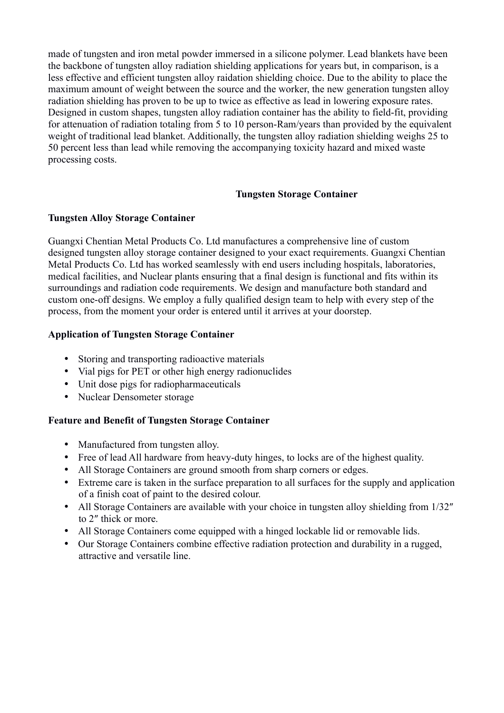made of tungsten and iron metal powder immersed in a silicone polymer. Lead blankets have been the backbone of tungsten alloy radiation shielding applications for years but, in comparison, is a less effective and efficient tungsten alloy raidation shielding choice. Due to the ability to place the maximum amount of weight between the source and the worker, the new generation tungsten alloy radiation shielding has proven to be up to twice as effective as lead in lowering exposure rates. Designed in custom shapes, tungsten alloy radiation container has the ability to field-fit, providing for attenuation of radiation totaling from 5 to 10 person-Ram/years than provided by the equivalent weight of traditional lead blanket. Additionally, the tungsten alloy radiation shielding weighs 25 to 50 percent less than lead while removing the accompanying toxicity hazard and mixed waste processing costs.

## **Tungsten Storage Container**

### **Tungsten Alloy Storage Container**

Guangxi Chentian Metal Products Co. Ltd manufactures a comprehensive line of custom designed tungsten alloy storage container designed to your exact requirements. Guangxi Chentian Metal Products Co. Ltd has worked seamlessly with end users including hospitals, laboratories, medical facilities, and Nuclear plants ensuring that a final design is functional and fits within its surroundings and radiation code requirements. We design and manufacture both standard and custom one-off designs. We employ a fully qualified design team to help with every step of the process, from the moment your order is entered until it arrives at your doorstep.

### **Application of Tungsten Storage Container**

- Storing and transporting radioactive materials
- Vial pigs for PET or other high energy radionuclides
- Unit dose pigs for radiopharmaceuticals
- Nuclear Densometer storage

#### **Feature and Benefit of Tungsten Storage Container**

- Manufactured from tungsten alloy.
- Free of lead All hardware from heavy-duty hinges, to locks are of the highest quality.
- All Storage Containers are ground smooth from sharp corners or edges.
- Extreme care is taken in the surface preparation to all surfaces for the supply and application of a finish coat of paint to the desired colour.
- All Storage Containers are available with your choice in tungsten alloy shielding from 1/32" to 2″ thick or more.
- All Storage Containers come equipped with a hinged lockable lid or removable lids.
- Our Storage Containers combine effective radiation protection and durability in a rugged, attractive and versatile line.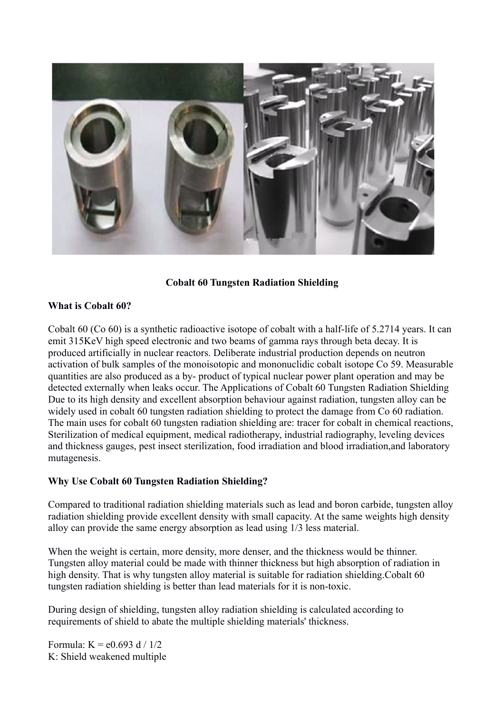

**Cobalt 60 Tungsten Radiation Shielding**

### **What is Cobalt 60?**

Cobalt 60 (Co 60) is a synthetic radioactive isotope of cobalt with a half-life of 5.2714 years. It can emit 315KeV high speed electronic and two beams of gamma rays through beta decay. It is produced artificially in nuclear reactors. Deliberate industrial production depends on neutron activation of bulk samples of the monoisotopic and mononuclidic cobalt isotope Co 59. Measurable quantities are also produced as a by- product of typical nuclear power plant operation and may be detected externally when leaks occur. The Applications of Cobalt 60 Tungsten Radiation Shielding Due to its high density and excellent absorption behaviour against radiation, tungsten alloy can be widely used in cobalt 60 tungsten radiation shielding to protect the damage from Co 60 radiation. The main uses for cobalt 60 tungsten radiation shielding are: tracer for cobalt in chemical reactions, Sterilization of medical equipment, medical radiotherapy, industrial radiography, leveling devices and thickness gauges, pest insect sterilization, food irradiation and blood irradiation,and laboratory mutagenesis.

### **Why Use Cobalt 60 Tungsten Radiation Shielding?**

Compared to traditional radiation shielding materials such as lead and boron carbide, tungsten alloy radiation shielding provide excellent density with small capacity. At the same weights high density alloy can provide the same energy absorption as lead using 1/3 less material.

When the weight is certain, more density, more denser, and the thickness would be thinner. Tungsten alloy material could be made with thinner thickness but high absorption of radiation in high density. That is why tungsten alloy material is suitable for radiation shielding. Cobalt 60 tungsten radiation shielding is better than lead materials for it is non-toxic.

During design of shielding, tungsten alloy radiation shielding is calculated according to requirements of shield to abate the multiple shielding materials' thickness.

Formula:  $K = e^{0.693}$  d / 1/2 K: Shield weakened multiple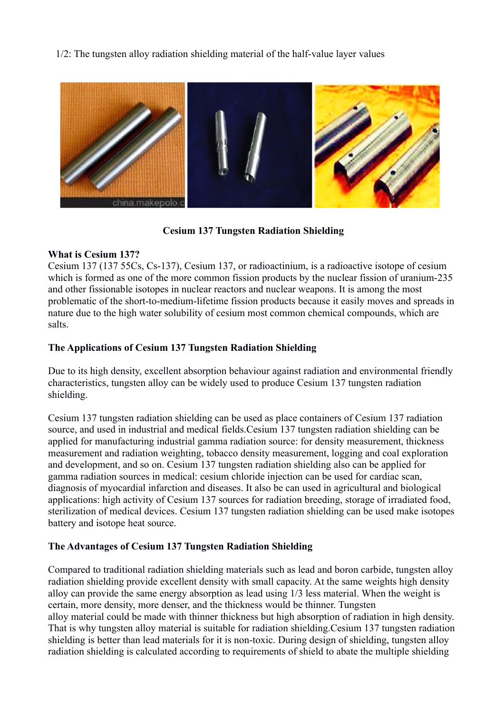1/2: The tungsten alloy radiation shielding material of the half-value layer values



 **Cesium 137 Tungsten Radiation Shielding**

# **What is Cesium 137?**

Cesium 137 (137 55Cs, Cs-137), Cesium 137, or radioactinium, is a radioactive isotope of cesium which is formed as one of the more common fission products by the nuclear fission of uranium-235 and other fissionable isotopes in nuclear reactors and nuclear weapons. It is among the most problematic of the short-to-medium-lifetime fission products because it easily moves and spreads in nature due to the high water solubility of cesium most common chemical compounds, which are salts.

# **The Applications of Cesium 137 Tungsten Radiation Shielding**

Due to its high density, excellent absorption behaviour against radiation and environmental friendly characteristics, tungsten alloy can be widely used to produce Cesium 137 tungsten radiation shielding.

Cesium 137 tungsten radiation shielding can be used as place containers of Cesium 137 radiation source, and used in industrial and medical fields.Cesium 137 tungsten radiation shielding can be applied for manufacturing industrial gamma radiation source: for density measurement, thickness measurement and radiation weighting, tobacco density measurement, logging and coal exploration and development, and so on. Cesium 137 tungsten radiation shielding also can be applied for gamma radiation sources in medical: cesium chloride injection can be used for cardiac scan, diagnosis of myocardial infarction and diseases. It also be can used in agricultural and biological applications: high activity of Cesium 137 sources for radiation breeding, storage of irradiated food, sterilization of medical devices. Cesium 137 tungsten radiation shielding can be used make isotopes battery and isotope heat source.

# **The Advantages of Cesium 137 Tungsten Radiation Shielding**

Compared to traditional radiation shielding materials such as lead and boron carbide, tungsten alloy radiation shielding provide excellent density with small capacity. At the same weights high density alloy can provide the same energy absorption as lead using 1/3 less material. When the weight is certain, more density, more denser, and the thickness would be thinner. Tungsten alloy material could be made with thinner thickness but high absorption of radiation in high density. That is why tungsten alloy material is suitable for radiation shielding.Cesium 137 tungsten radiation shielding is better than lead materials for it is non-toxic. During design of shielding, tungsten alloy radiation shielding is calculated according to requirements of shield to abate the multiple shielding